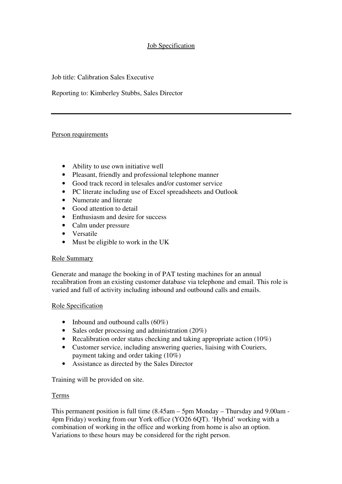# Job Specification

Job title: Calibration Sales Executive

Reporting to: Kimberley Stubbs, Sales Director

#### Person requirements

- Ability to use own initiative well
- Pleasant, friendly and professional telephone manner
- Good track record in telesales and/or customer service
- PC literate including use of Excel spreadsheets and Outlook
- Numerate and literate
- Good attention to detail
- Enthusiasm and desire for success
- Calm under pressure
- Versatile
- Must be eligible to work in the UK

#### Role Summary

Generate and manage the booking in of PAT testing machines for an annual recalibration from an existing customer database via telephone and email. This role is varied and full of activity including inbound and outbound calls and emails.

#### Role Specification

- Inbound and outbound calls (60%)
- Sales order processing and administration (20%)
- Recalibration order status checking and taking appropriate action (10%)
- Customer service, including answering queries, liaising with Couriers, payment taking and order taking (10%)
- Assistance as directed by the Sales Director

Training will be provided on site.

#### Terms

This permanent position is full time (8.45am – 5pm Monday – Thursday and 9.00am - 4pm Friday) working from our York office (YO26 6QT). 'Hybrid' working with a combination of working in the office and working from home is also an option. Variations to these hours may be considered for the right person.